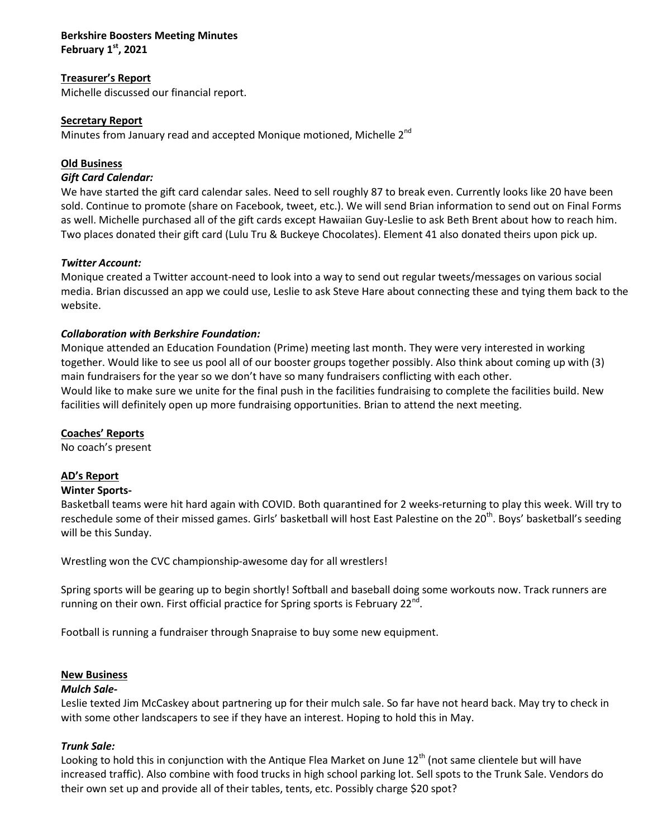#### **Berkshire Boosters Meeting Minutes February 1st, 2021**

## **Treasurer's Report**

Michelle discussed our financial report.

# **Secretary Report**

Minutes from January read and accepted Monique motioned, Michelle 2<sup>nd</sup>

# **Old Business**

#### *Gift Card Calendar:*

We have started the gift card calendar sales. Need to sell roughly 87 to break even. Currently looks like 20 have been sold. Continue to promote (share on Facebook, tweet, etc.). We will send Brian information to send out on Final Forms as well. Michelle purchased all of the gift cards except Hawaiian Guy-Leslie to ask Beth Brent about how to reach him. Two places donated their gift card (Lulu Tru & Buckeye Chocolates). Element 41 also donated theirs upon pick up.

## *Twitter Account:*

Monique created a Twitter account-need to look into a way to send out regular tweets/messages on various social media. Brian discussed an app we could use, Leslie to ask Steve Hare about connecting these and tying them back to the website.

# *Collaboration with Berkshire Foundation:*

Monique attended an Education Foundation (Prime) meeting last month. They were very interested in working together. Would like to see us pool all of our booster groups together possibly. Also think about coming up with (3) main fundraisers for the year so we don't have so many fundraisers conflicting with each other. Would like to make sure we unite for the final push in the facilities fundraising to complete the facilities build. New facilities will definitely open up more fundraising opportunities. Brian to attend the next meeting.

## **Coaches' Reports**

No coach's present

## **AD's Report**

## **Winter Sports-**

Basketball teams were hit hard again with COVID. Both quarantined for 2 weeks-returning to play this week. Will try to reschedule some of their missed games. Girls' basketball will host East Palestine on the 20<sup>th</sup>. Boys' basketball's seeding will be this Sunday.

Wrestling won the CVC championship-awesome day for all wrestlers!

Spring sports will be gearing up to begin shortly! Softball and baseball doing some workouts now. Track runners are running on their own. First official practice for Spring sports is February  $22^{nd}$ .

Football is running a fundraiser through Snapraise to buy some new equipment.

## **New Business**

## *Mulch Sale-*

Leslie texted Jim McCaskey about partnering up for their mulch sale. So far have not heard back. May try to check in with some other landscapers to see if they have an interest. Hoping to hold this in May.

## *Trunk Sale:*

Looking to hold this in conjunction with the Antique Flea Market on June  $12<sup>th</sup>$  (not same clientele but will have increased traffic). Also combine with food trucks in high school parking lot. Sell spots to the Trunk Sale. Vendors do their own set up and provide all of their tables, tents, etc. Possibly charge \$20 spot?